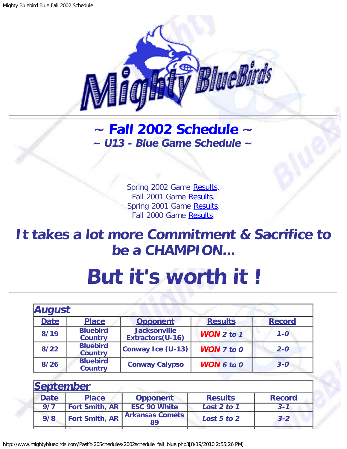

## <span id="page-0-1"></span>**~ [Fall 2002 Schedule](#page-0-0) ~ ~ U13 - Blue Game Schedule ~**

Spring 2002 Game [Results.](http://www.mightybluebirds.com/Past%20Schedules/2002schedule_spring_blue.php3) Fall 2001 Game [Results.](http://www.mightybluebirds.com/Past%20Schedules/2001schedule_fall_blue.php3) Spring 2001 Game [Results.](http://www.mightybluebirds.com/Past%20Schedules/2001schedule_spring_blue.php3) Fall 2000 Game [Results.](http://www.mightybluebirds.com/Past%20Schedules/2000schedule_fall_blue.php3)

## **It takes a lot more Commitment & Sacrifice to be a CHAMPION...**

## **But it's worth it !**

<span id="page-0-0"></span>

| <u>August</u> |                                   |                                         |                       |               |
|---------------|-----------------------------------|-----------------------------------------|-----------------------|---------------|
| <b>Date</b>   | <b>Place</b>                      | <b>Opponent</b>                         | <b>Results</b>        | <b>Record</b> |
| 8/19          | <b>Bluebird</b><br><b>Country</b> | <b>Jacksonville</b><br>Extractors(U-16) | <b>WON</b> $2$ to $1$ | $1 - 0$       |
| $8/22$        | <b>Bluebird</b><br><b>Country</b> | Conway Ice (U-13)                       | <b>WON</b> $7$ to $0$ | $2 - 0$       |
| 8/26          | <b>Bluebird</b><br><b>Country</b> | <b>Conway Calypso</b>                   | <b>WON 6 to 0</b>     | $3 - 0$       |

| September   |                       |                              |                |               |
|-------------|-----------------------|------------------------------|----------------|---------------|
| <b>Date</b> | <b>Place</b>          | <b>Opponent</b>              | <b>Results</b> | <b>Record</b> |
| 9/7         | <b>Fort Smith, AR</b> | <b>ESC 90 White</b>          | Lost 2 to 1    | $3 - 1$       |
| 9/8         | <b>Fort Smith, AR</b> | <b>Arkansas Comets</b><br>89 | Lost 5 to 2    | $3 - 2$       |
|             |                       |                              |                |               |

http://www.mightybluebirds.com/Past%20Schedules/2002schedule\_fall\_blue.php3[8/19/2010 2:55:26 PM]